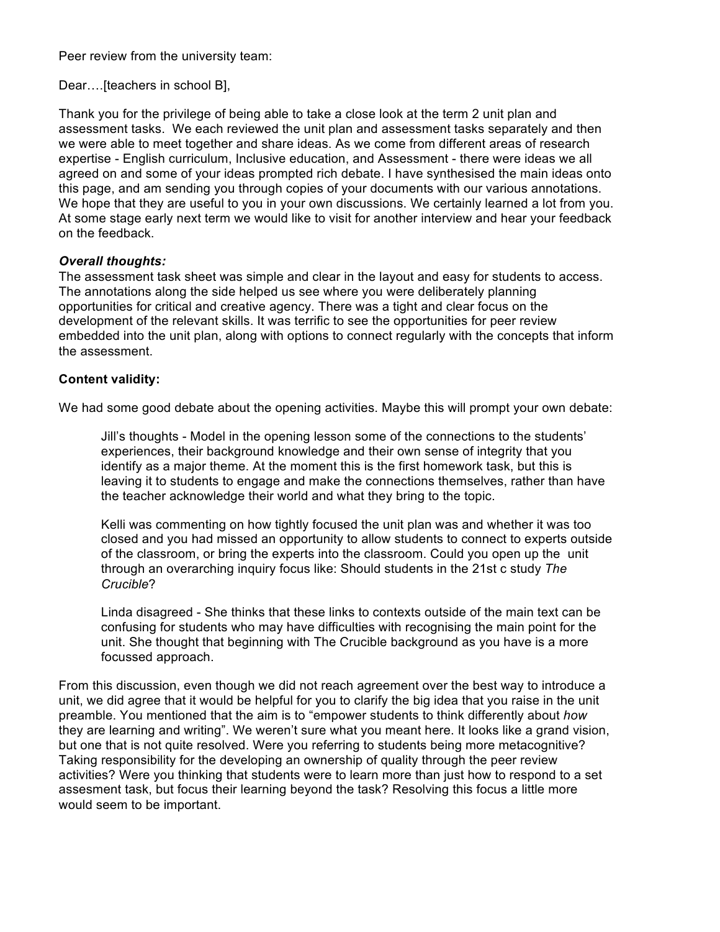Peer review from the university team:

Dear….[teachers in school B],

Thank you for the privilege of being able to take a close look at the term 2 unit plan and assessment tasks. We each reviewed the unit plan and assessment tasks separately and then we were able to meet together and share ideas. As we come from different areas of research expertise - English curriculum, Inclusive education, and Assessment - there were ideas we all agreed on and some of your ideas prompted rich debate. I have synthesised the main ideas onto this page, and am sending you through copies of your documents with our various annotations. We hope that they are useful to you in your own discussions. We certainly learned a lot from you. At some stage early next term we would like to visit for another interview and hear your feedback on the feedback.

## *Overall thoughts:*

The assessment task sheet was simple and clear in the layout and easy for students to access. The annotations along the side helped us see where you were deliberately planning opportunities for critical and creative agency. There was a tight and clear focus on the development of the relevant skills. It was terrific to see the opportunities for peer review embedded into the unit plan, along with options to connect regularly with the concepts that inform the assessment.

## **Content validity:**

We had some good debate about the opening activities. Maybe this will prompt your own debate:

Jill's thoughts - Model in the opening lesson some of the connections to the students' experiences, their background knowledge and their own sense of integrity that you identify as a major theme. At the moment this is the first homework task, but this is leaving it to students to engage and make the connections themselves, rather than have the teacher acknowledge their world and what they bring to the topic.

Kelli was commenting on how tightly focused the unit plan was and whether it was too closed and you had missed an opportunity to allow students to connect to experts outside of the classroom, or bring the experts into the classroom. Could you open up the unit through an overarching inquiry focus like: Should students in the 21st c study *The Crucible*?

Linda disagreed - She thinks that these links to contexts outside of the main text can be confusing for students who may have difficulties with recognising the main point for the unit. She thought that beginning with The Crucible background as you have is a more focussed approach.

From this discussion, even though we did not reach agreement over the best way to introduce a unit, we did agree that it would be helpful for you to clarify the big idea that you raise in the unit preamble. You mentioned that the aim is to "empower students to think differently about *how*  they are learning and writing". We weren't sure what you meant here. It looks like a grand vision, but one that is not quite resolved. Were you referring to students being more metacognitive? Taking responsibility for the developing an ownership of quality through the peer review activities? Were you thinking that students were to learn more than just how to respond to a set assesment task, but focus their learning beyond the task? Resolving this focus a little more would seem to be important.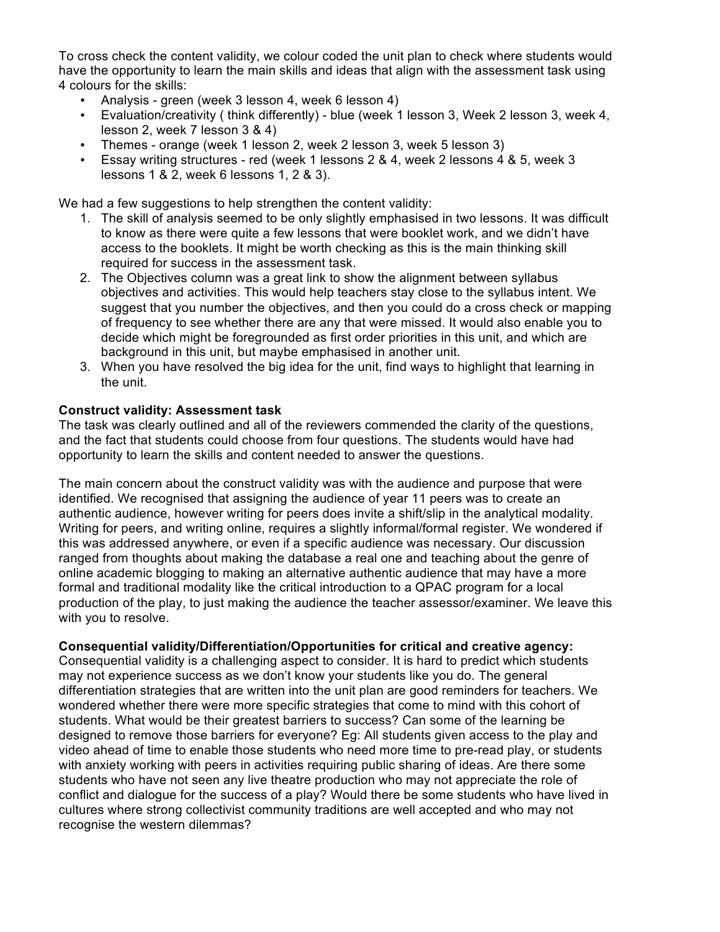To cross check the content validity, we colour coded the unit plan to check where students would have the opportunity to learn the main skills and ideas that align with the assessment task using 4 colours for the skills:

- Analysis green (week 3 lesson 4, week 6 lesson 4)
- Evaluation/creativity ( think differently) blue (week 1 lesson 3, Week 2 lesson 3, week 4, lesson 2, week 7 lesson 3 & 4)
- Themes orange (week 1 lesson 2, week 2 lesson 3, week 5 lesson 3)
- Essay writing structures red (week 1 lessons 2 & 4, week 2 lessons 4 & 5, week 3 lessons 1 & 2, week 6 lessons 1, 2 & 3).

We had a few suggestions to help strengthen the content validity:

- 1. The skill of analysis seemed to be only slightly emphasised in two lessons. It was difficult to know as there were quite a few lessons that were booklet work, and we didn't have access to the booklets. It might be worth checking as this is the main thinking skill required for success in the assessment task.
- 2. The Objectives column was a great link to show the alignment between syllabus objectives and activities. This would help teachers stay close to the syllabus intent. We suggest that you number the objectives, and then you could do a cross check or mapping of frequency to see whether there are any that were missed. It would also enable you to decide which might be foregrounded as first order priorities in this unit, and which are background in this unit, but maybe emphasised in another unit.
- 3. When you have resolved the big idea for the unit, find ways to highlight that learning in the unit.

## **Construct validity: Assessment task**

The task was clearly outlined and all of the reviewers commended the clarity of the questions, and the fact that students could choose from four questions. The students would have had opportunity to learn the skills and content needed to answer the questions.

The main concern about the construct validity was with the audience and purpose that were identified. We recognised that assigning the audience of year 11 peers was to create an authentic audience, however writing for peers does invite a shift/slip in the analytical modality. Writing for peers, and writing online, requires a slightly informal/formal register. We wondered if this was addressed anywhere, or even if a specific audience was necessary. Our discussion ranged from thoughts about making the database a real one and teaching about the genre of online academic blogging to making an alternative authentic audience that may have a more formal and traditional modality like the critical introduction to a QPAC program for a local production of the play, to just making the audience the teacher assessor/examiner. We leave this with you to resolve.

## **Consequential validity/Differentiation/Opportunities for critical and creative agency:**

Consequential validity is a challenging aspect to consider. It is hard to predict which students may not experience success as we don't know your students like you do. The general differentiation strategies that are written into the unit plan are good reminders for teachers. We wondered whether there were more specific strategies that come to mind with this cohort of students. What would be their greatest barriers to success? Can some of the learning be designed to remove those barriers for everyone? Eg: All students given access to the play and video ahead of time to enable those students who need more time to pre-read play, or students with anxiety working with peers in activities requiring public sharing of ideas. Are there some students who have not seen any live theatre production who may not appreciate the role of conflict and dialogue for the success of a play? Would there be some students who have lived in cultures where strong collectivist community traditions are well accepted and who may not recognise the western dilemmas?